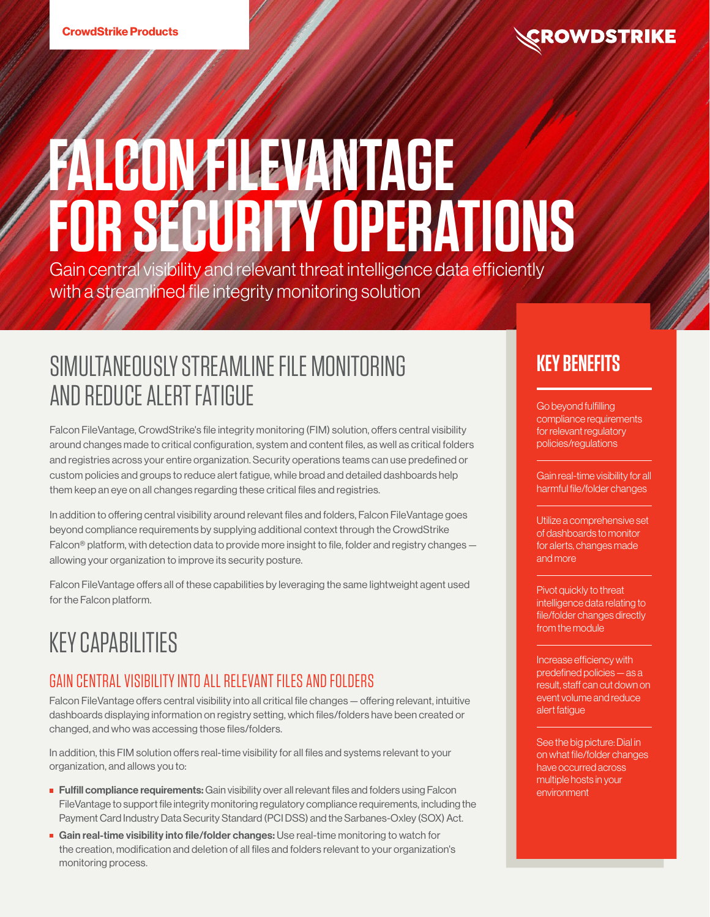# **FALCON FILEVANTAGE FOR SECURITY OPERATIONS**

Gain central visibility and relevant threat intelligence data efficiently with a streamlined file integrity monitoring solution

# SIMULTANEOUSLY STREAMLINE FILE MONITORING AND REDUCE ALERT FATIGUE

Falcon FileVantage, CrowdStrike's file integrity monitoring (FIM) solution, offers central visibility around changes made to critical configuration, system and content files, as well as critical folders and registries across your entire organization. Security operations teams can use predefined or custom policies and groups to reduce alert fatigue, while broad and detailed dashboards help them keep an eye on all changes regarding these critical files and registries.

In addition to offering central visibility around relevant files and folders, Falcon FileVantage goes beyond compliance requirements by supplying additional context through the CrowdStrike Falcon<sup>®</sup> platform, with detection data to provide more insight to file, folder and registry changes allowing your organization to improve its security posture.

Falcon FileVantage offers all of these capabilities by leveraging the same lightweight agent used for the Falcon platform.

# KEY CAPABILITIES

# GAIN CENTRAL VISIBILITY INTO ALL RELEVANT FILES AND FOLDERS

Falcon FileVantage offers central visibility into all critical file changes — offering relevant, intuitive dashboards displaying information on registry setting, which files/folders have been created or changed, and who was accessing those files/folders.

In addition, this FIM solution offers real-time visibility for all files and systems relevant to your organization, and allows you to:

- **Fulfill compliance requirements:** Gain visibility over all relevant files and folders using Falcon FileVantage to support file integrity monitoring regulatory compliance requirements, including the Payment Card Industry Data Security Standard (PCI DSS) and the Sarbanes-Oxley (SOX) Act.
- Gain real-time visibility into file/folder changes: Use real-time monitoring to watch for the creation, modification and deletion of all files and folders relevant to your organization's monitoring process.

# **KEY BENEFITS**

Go beyond fulfilling compliance requirements for relevant regulatory policies/regulations

Gain real-time visibility for all harmful file/folder changes

Utilize a comprehensive set of dashboards to monitor for alerts, changes made and more

Pivot quickly to threat intelligence data relating to file/folder changes directly from the module

Increase efficiency with predefined policies — as a result, staff can cut down on event volume and reduce alert fatigue

See the big picture: Dial in on what file/folder changes have occurred across multiple hosts in your environment